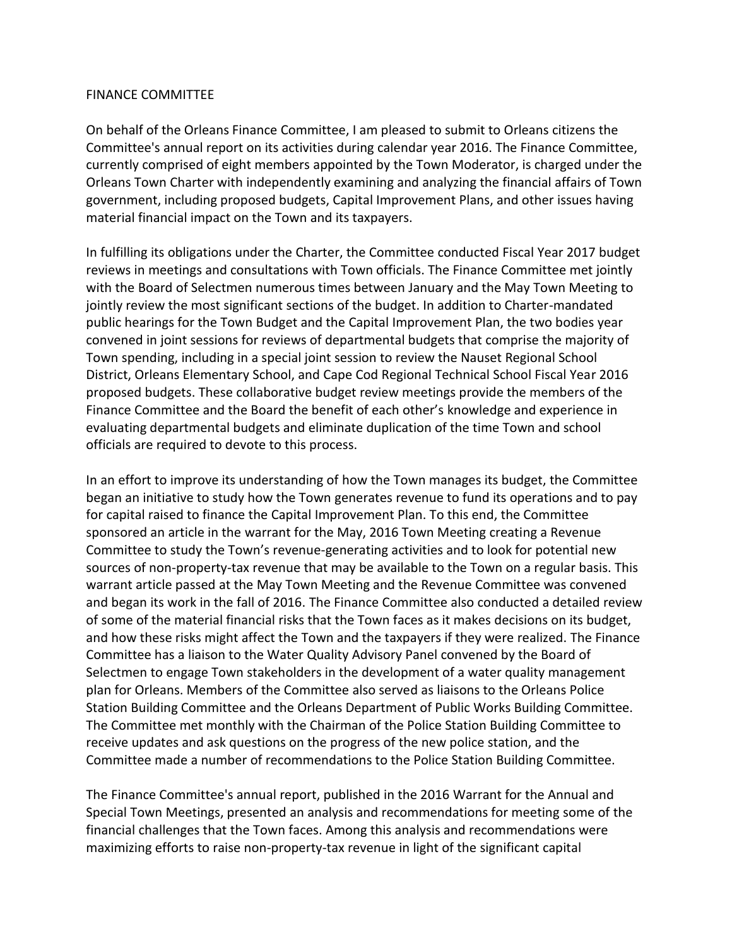## FINANCE COMMITTEE

On behalf of the Orleans Finance Committee, I am pleased to submit to Orleans citizens the Committee's annual report on its activities during calendar year 2016. The Finance Committee, currently comprised of eight members appointed by the Town Moderator, is charged under the Orleans Town Charter with independently examining and analyzing the financial affairs of Town government, including proposed budgets, Capital Improvement Plans, and other issues having material financial impact on the Town and its taxpayers.

In fulfilling its obligations under the Charter, the Committee conducted Fiscal Year 2017 budget reviews in meetings and consultations with Town officials. The Finance Committee met jointly with the Board of Selectmen numerous times between January and the May Town Meeting to jointly review the most significant sections of the budget. In addition to Charter-mandated public hearings for the Town Budget and the Capital Improvement Plan, the two bodies year convened in joint sessions for reviews of departmental budgets that comprise the majority of Town spending, including in a special joint session to review the Nauset Regional School District, Orleans Elementary School, and Cape Cod Regional Technical School Fiscal Year 2016 proposed budgets. These collaborative budget review meetings provide the members of the Finance Committee and the Board the benefit of each other's knowledge and experience in evaluating departmental budgets and eliminate duplication of the time Town and school officials are required to devote to this process.

In an effort to improve its understanding of how the Town manages its budget, the Committee began an initiative to study how the Town generates revenue to fund its operations and to pay for capital raised to finance the Capital Improvement Plan. To this end, the Committee sponsored an article in the warrant for the May, 2016 Town Meeting creating a Revenue Committee to study the Town's revenue-generating activities and to look for potential new sources of non-property-tax revenue that may be available to the Town on a regular basis. This warrant article passed at the May Town Meeting and the Revenue Committee was convened and began its work in the fall of 2016. The Finance Committee also conducted a detailed review of some of the material financial risks that the Town faces as it makes decisions on its budget, and how these risks might affect the Town and the taxpayers if they were realized. The Finance Committee has a liaison to the Water Quality Advisory Panel convened by the Board of Selectmen to engage Town stakeholders in the development of a water quality management plan for Orleans. Members of the Committee also served as liaisons to the Orleans Police Station Building Committee and the Orleans Department of Public Works Building Committee. The Committee met monthly with the Chairman of the Police Station Building Committee to receive updates and ask questions on the progress of the new police station, and the Committee made a number of recommendations to the Police Station Building Committee.

The Finance Committee's annual report, published in the 2016 Warrant for the Annual and Special Town Meetings, presented an analysis and recommendations for meeting some of the financial challenges that the Town faces. Among this analysis and recommendations were maximizing efforts to raise non-property-tax revenue in light of the significant capital